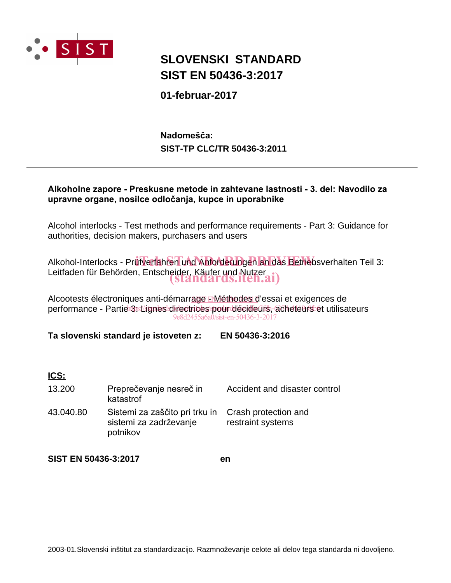

# **SIST EN 50436-3:2017 SLOVENSKI STANDARD**

**01-februar-2017**

**SIST-TP CLC/TR 50436-3:2011** Nadomešča:

### Alkoholne zapore - Preskusne metode in zahtevane lastnosti - 3. del: Navodilo za upravne organe, nosilce odločanja, kupce in uporabnike

Alcohol interlocks - Test methods and performance requirements - Part 3: Guidance for authorities, decision makers, purchasers and users

Alkohol-Interlocks - Prüfverfahren und Anforderungen an das Betriebsverhalten Teil 3: Leitfaden für Behörden, Entscheider, Käufer und Nutzer (standards.iteh.ai)

Alcootests électroniques anti-démarrage EMéthodes d'essai et exigences de performance - Partie 3: Lignes directrices pour décideurs, acheteurs et utilisateurs 9e8d2455a6a0/sist-en-50436-3-2017

**Ta slovenski standard je istoveten z: EN 50436-3:2016**

### **ICS:**

| 13.200    | Preprečevanje nesreč in<br>katastrof                                                      | Accident and disaster control |
|-----------|-------------------------------------------------------------------------------------------|-------------------------------|
| 43.040.80 | Sistemi za zaščito pri trku in Crash protection and<br>sistemi za zadrževanje<br>potnikov | restraint systems             |

**SIST EN 50436-3:2017 en**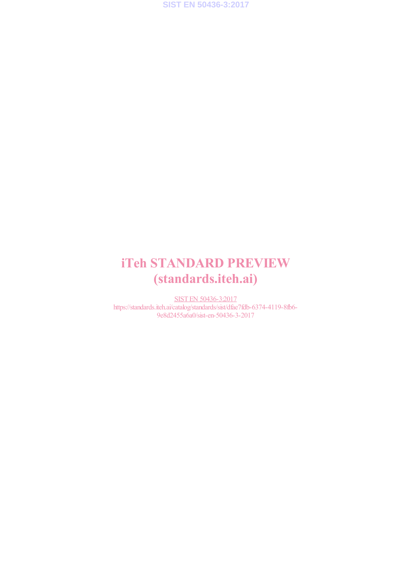

# iTeh STANDARD PREVIEW (standards.iteh.ai)

SIST EN 50436-3:2017 https://standards.iteh.ai/catalog/standards/sist/dfae7fdb-6374-4119-8fb6- 9e8d2455a6a0/sist-en-50436-3-2017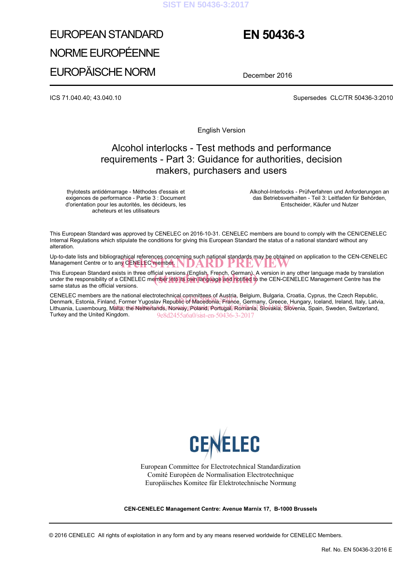#### **SIST EN 50436-3:2017**

# EUROPEAN STANDARD NORME EUROPÉENNE EUROPÄISCHE NORM

## **EN 50436-3**

December 2016

ICS 71.040.40; 43.040.10 Supersedes CLC/TR 50436-3:2010

English Version

## Alcohol interlocks - Test methods and performance requirements - Part 3: Guidance for authorities, decision makers, purchasers and users

thylotests antidémarrage - Méthodes d'essais et exigences de performance - Partie 3 : Document d'orientation pour les autorités, les décideurs, les acheteurs et les utilisateurs

Alkohol-Interlocks - Prüfverfahren und Anforderungen an das Betriebsverhalten - Teil 3: Leitfaden für Behörden, Entscheider, Käufer und Nutzer

This European Standard was approved by CENELEC on 2016-10-31. CENELEC members are bound to comply with the CEN/CENELEC Internal Regulations which stipulate the conditions for giving this European Standard the status of a national standard without any alteration.

Up-to-date lists and bibliographical references concerning such national standards may be obtained on application to the CEN-CENELEC iTeh STANDARD PREVIEW Management Centre or to any CENELEC member.

This European Standard exists in three official versions (English, French, German). A version in any other language made by translation This European Standard exists in three official versions (English, French, German). A version in any other language made by translation<br>under the responsibility of a CENELEC me<mark>mber into its own language and notified</mark> to t same status as the official versions.

CENELEC members are the national electrotechnical committees of Austria, Belgium, Bulgaria, Croatia, Cyprus, the Czech Republic, CENELEC members are the national electrolechmical Committees of Austria, Belgium, Bulgana, Croatia, Cyprus, the Czech Republic,<br>Denmark, Estonia, Finland, Former Yugoslav Republic of Macedonia, France, Germany, Greece, Hun Lithuania, Luxembourg, Malta, the Netherlands, Norway, Poland, Portugal, Romania, Slovakia, Slovenia, Spain, Sweden, Switzerland, Turkey and the United Kingdom. 9e8d2455a6a0/sist-en-50436-3-2017



European Committee for Electrotechnical Standardization Comité Européen de Normalisation Electrotechnique Europäisches Komitee für Elektrotechnische Normung

**CEN-CENELEC Management Centre: Avenue Marnix 17, B-1000 Brussels**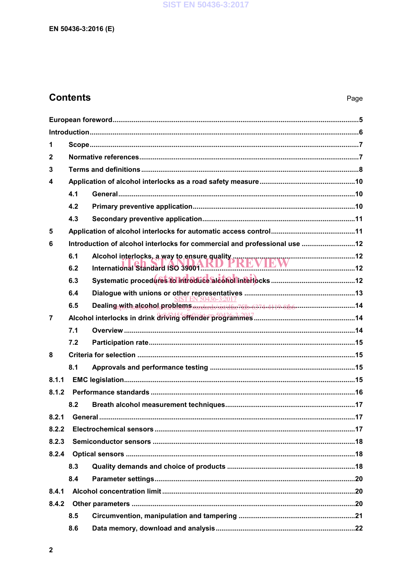## **Contents**

| 1            |                                                                            |                |  |
|--------------|----------------------------------------------------------------------------|----------------|--|
| $\mathbf{2}$ |                                                                            |                |  |
| 3            |                                                                            |                |  |
| 4            |                                                                            |                |  |
|              | 4.1                                                                        |                |  |
|              | 4.2                                                                        |                |  |
|              | 4.3                                                                        |                |  |
| 5            |                                                                            |                |  |
| 6            | Introduction of alcohol interlocks for commercial and professional use  12 |                |  |
|              | 6.1                                                                        |                |  |
|              | 6.2                                                                        |                |  |
|              | 6.3                                                                        |                |  |
|              | 6.4                                                                        |                |  |
|              | 6.5                                                                        | EN 50436-3:201 |  |
| 7            |                                                                            |                |  |
|              | 7.1                                                                        |                |  |
|              | 7.2                                                                        |                |  |
| 8            |                                                                            |                |  |
|              | 8.1                                                                        |                |  |
| 8.1.1        |                                                                            |                |  |
| 8.1.2        |                                                                            |                |  |
|              | 8.2                                                                        |                |  |
| 8.2.1        |                                                                            |                |  |
| 8.2.2        |                                                                            |                |  |
| 8.2.3        |                                                                            |                |  |
| 8.2.4        |                                                                            |                |  |
|              | 8.3                                                                        |                |  |
|              | 8.4                                                                        |                |  |
| 8.4.1        |                                                                            |                |  |
| 8.4.2        |                                                                            |                |  |
|              | 8.5                                                                        |                |  |
|              | 8.6                                                                        |                |  |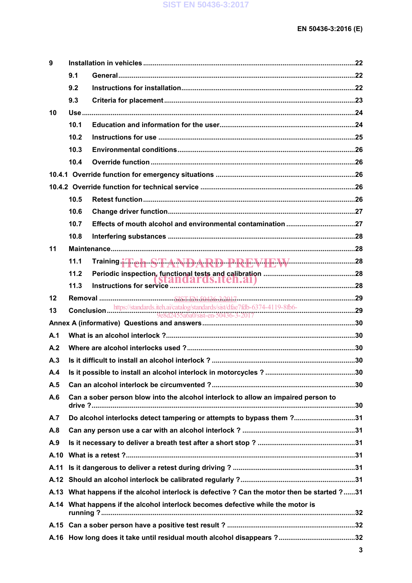| 9    |                                                                                             |                                                                                                                           |  |
|------|---------------------------------------------------------------------------------------------|---------------------------------------------------------------------------------------------------------------------------|--|
|      | 9.1                                                                                         |                                                                                                                           |  |
|      | 9.2                                                                                         |                                                                                                                           |  |
|      | 9.3                                                                                         |                                                                                                                           |  |
| 10   |                                                                                             |                                                                                                                           |  |
|      | 10.1                                                                                        |                                                                                                                           |  |
|      | 10.2                                                                                        |                                                                                                                           |  |
|      | 10.3                                                                                        |                                                                                                                           |  |
|      | 10.4                                                                                        |                                                                                                                           |  |
|      |                                                                                             |                                                                                                                           |  |
|      |                                                                                             |                                                                                                                           |  |
|      | 10.5                                                                                        |                                                                                                                           |  |
|      | 10.6                                                                                        |                                                                                                                           |  |
|      | 10.7                                                                                        |                                                                                                                           |  |
|      | 10.8                                                                                        |                                                                                                                           |  |
| 11   |                                                                                             |                                                                                                                           |  |
|      | 11.1                                                                                        | Training j'Teh STANDARD PREVIEW                                                                                           |  |
|      | 11.2                                                                                        |                                                                                                                           |  |
|      | 11.3                                                                                        |                                                                                                                           |  |
| 12   |                                                                                             |                                                                                                                           |  |
| 13   |                                                                                             | Conclusion https://standards.iteh.ai/catalog/standards/sist/dfae7fdb-6374-4119-8fb6-<br>9e8d2455a6a0/sist-en-50436-3-2017 |  |
|      |                                                                                             |                                                                                                                           |  |
| A.1  |                                                                                             |                                                                                                                           |  |
| A.2  |                                                                                             |                                                                                                                           |  |
| A.3  |                                                                                             |                                                                                                                           |  |
| A.4  |                                                                                             |                                                                                                                           |  |
| A.5  |                                                                                             |                                                                                                                           |  |
| A.6  |                                                                                             | Can a sober person blow into the alcohol interlock to allow an impaired person to                                         |  |
| A.7  |                                                                                             | Do alcohol interlocks detect tampering or attempts to bypass them ?31                                                     |  |
| A.8  |                                                                                             |                                                                                                                           |  |
| A.9  |                                                                                             |                                                                                                                           |  |
| A.10 |                                                                                             |                                                                                                                           |  |
| A.11 |                                                                                             |                                                                                                                           |  |
| A.12 |                                                                                             |                                                                                                                           |  |
|      | A.13 What happens if the alcohol interlock is defective ? Can the motor then be started ?31 |                                                                                                                           |  |
|      |                                                                                             | A.14 What happens if the alcohol interlock becomes defective while the motor is                                           |  |
|      |                                                                                             |                                                                                                                           |  |
|      |                                                                                             |                                                                                                                           |  |
|      |                                                                                             |                                                                                                                           |  |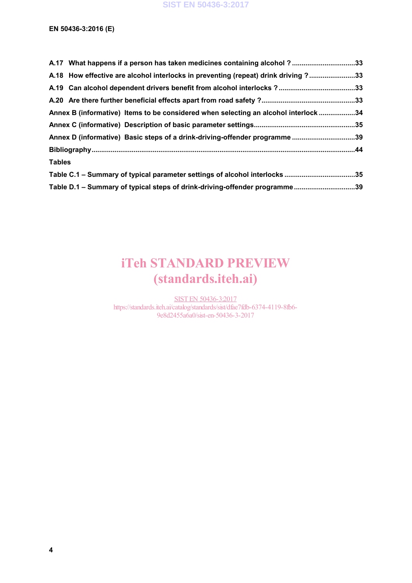|               | A.17 What happens if a person has taken medicines containing alcohol?33             |  |
|---------------|-------------------------------------------------------------------------------------|--|
|               | A.18 How effective are alcohol interlocks in preventing (repeat) drink driving ?33  |  |
|               |                                                                                     |  |
|               |                                                                                     |  |
|               | Annex B (informative) Items to be considered when selecting an alcohol interlock 34 |  |
|               |                                                                                     |  |
|               | Annex D (informative) Basic steps of a drink-driving-offender programme 39          |  |
|               |                                                                                     |  |
| <b>Tables</b> |                                                                                     |  |
|               | Table C.1 - Summary of typical parameter settings of alcohol interlocks 35          |  |
|               | Table D.1 - Summary of typical steps of drink-driving-offender programme39          |  |

# iTeh STANDARD PREVIEW (standards.iteh.ai)

SIST EN 50436-3:2017 https://standards.iteh.ai/catalog/standards/sist/dfae7fdb-6374-4119-8fb6- 9e8d2455a6a0/sist-en-50436-3-2017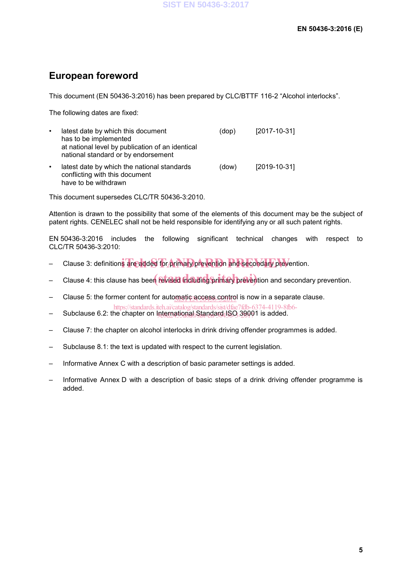## **European foreword**

This document (EN 50436-3:2016) has been prepared by CLC/BTTF 116-2 "Alcohol interlocks".

The following dates are fixed:

have to be withdrawn

| $\bullet$ | latest date by which this document<br>has to be implemented<br>at national level by publication of an identical<br>national standard or by endorsement | (dop) | $[2017 - 10 - 31]$ |
|-----------|--------------------------------------------------------------------------------------------------------------------------------------------------------|-------|--------------------|
|           | latest date by which the national standards<br>conflicting with this document                                                                          | (dow) | $[2019-10-31]$     |

This document supersedes CLC/TR 50436-3:2010.

Attention is drawn to the possibility that some of the elements of this document may be the subject of patent rights. CENELEC shall not be held responsible for identifying any or all such patent rights.

EN 50436-3:2016 includes the following significant technical changes with respect to CLC/TR 50436-3:2010:

- Clause 3: definitions are added for primary prevention and secondary prevention.
- Clause 4: this clause has been revised including primary prevention and secondary prevention.
- Clause 5: the former content for auto<u>matic access control</u> is now in a separate clause.
- https://standards.iteh.ai/catalog/standards/sist/dfae7fdb-6374-4119-8fb6-
- Subclause 6.2: the chapter on International Standard ISO 39001 is added.
- Clause 7: the chapter on alcohol interlocks in drink driving offender programmes is added.
- Subclause 8.1: the text is updated with respect to the current legislation.
- Informative Annex C with a description of basic parameter settings is added.
- Informative Annex D with a description of basic steps of a drink driving offender programme is added.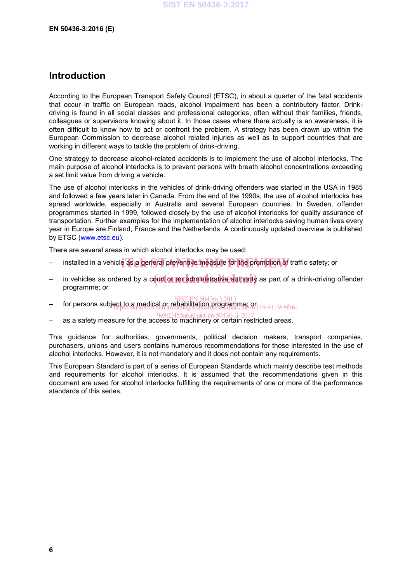## **Introduction**

According to the European Transport Safety Council (ETSC), in about a quarter of the fatal accidents that occur in traffic on European roads, alcohol impairment has been a contributory factor. Drinkdriving is found in all social classes and professional categories, often without their families, friends, colleagues or supervisors knowing about it. In those cases where there actually is an awareness, it is often difficult to know how to act or confront the problem. A strategy has been drawn up within the European Commission to decrease alcohol related injuries as well as to support countries that are working in different ways to tackle the problem of drink-driving.

One strategy to decrease alcohol-related accidents is to implement the use of alcohol interlocks. The main purpose of alcohol interlocks is to prevent persons with breath alcohol concentrations exceeding a set limit value from driving a vehicle.

The use of alcohol interlocks in the vehicles of drink-driving offenders was started in the USA in 1985 and followed a few years later in Canada. From the end of the 1990s, the use of alcohol interlocks has spread worldwide, especially in Australia and several European countries. In Sweden, offender programmes started in 1999, followed closely by the use of alcohol interlocks for quality assurance of transportation. Further examples for the implementation of alcohol interlocks saving human lives every year in Europe are Finland, France and the Netherlands. A continuously updated overview is published by ETSC (www.etsc.eu).

There are several areas in which alcohol interlocks may be used:

- installed in a vehicle as a general preventive measure for the promotion of traffic safety; or
- in vehicles as ordered by a court or an administrative authority as part of a drink-driving offender programme; or
- for persons subject to a medical or rehabilitation programme; or SIST EN 50436-3:2017
- https://standards.iteh.ai/catalog/standards/sist/dfae7fdb-6374-4119-8fb6- 455a6a0/sist-en-50436-3-20
- as a safety measure for the access to machinery or certain restricted areas.

This guidance for authorities, governments, political decision makers, transport companies, purchasers, unions and users contains numerous recommendations for those interested in the use of alcohol interlocks. However, it is not mandatory and it does not contain any requirements.

This European Standard is part of a series of European Standards which mainly describe test methods and requirements for alcohol interlocks. It is assumed that the recommendations given in this document are used for alcohol interlocks fulfilling the requirements of one or more of the performance standards of this series.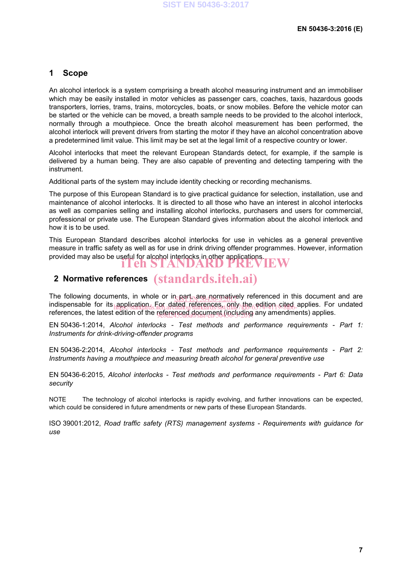### **1 Scope**

An alcohol interlock is a system comprising a breath alcohol measuring instrument and an immobiliser which may be easily installed in motor vehicles as passenger cars, coaches, taxis, hazardous goods transporters, lorries, trams, trains, motorcycles, boats, or snow mobiles. Before the vehicle motor can be started or the vehicle can be moved, a breath sample needs to be provided to the alcohol interlock, normally through a mouthpiece. Once the breath alcohol measurement has been performed, the alcohol interlock will prevent drivers from starting the motor if they have an alcohol concentration above a predetermined limit value. This limit may be set at the legal limit of a respective country or lower.

Alcohol interlocks that meet the relevant European Standards detect, for example, if the sample is delivered by a human being. They are also capable of preventing and detecting tampering with the instrument.

Additional parts of the system may include identity checking or recording mechanisms.

The purpose of this European Standard is to give practical guidance for selection, installation, use and maintenance of alcohol interlocks. It is directed to all those who have an interest in alcohol interlocks as well as companies selling and installing alcohol interlocks, purchasers and users for commercial, professional or private use. The European Standard gives information about the alcohol interlock and how it is to be used.

This European Standard describes alcohol interlocks for use in vehicles as a general preventive measure in traffic safety as well as for use in drink driving offender programmes. However, information provided may also be useful for alcohol interlocks in other applications.

#### iTeh STANDARD PREVIEW

# **2 Normative references** (standards.iteh.ai)

The following documents, in whole or in part nare agermatively referenced in this document and are Transmitted indispensable for its application. For dated references, only the edition cited applies. For undated references, the latest edition of the referenced document (including any amendments) applies.

EN 50436-1:2014, *Alcohol interlocks - Test methods and performance requirements - Part 1: Instruments for drink-driving-offender programs*

EN 50436-2:2014, *Alcohol interlocks - Test methods and performance requirements - Part 2: Instruments having a mouthpiece and measuring breath alcohol for general preventive use*

EN 50436-6:2015, *Alcohol interlocks - Test methods and performance requirements - Part 6: Data security*

NOTE The technology of alcohol interlocks is rapidly evolving, and further innovations can be expected, which could be considered in future amendments or new parts of these European Standards.

ISO 39001:2012, *Road traffic safety (RTS) management systems - Requirements with guidance for use*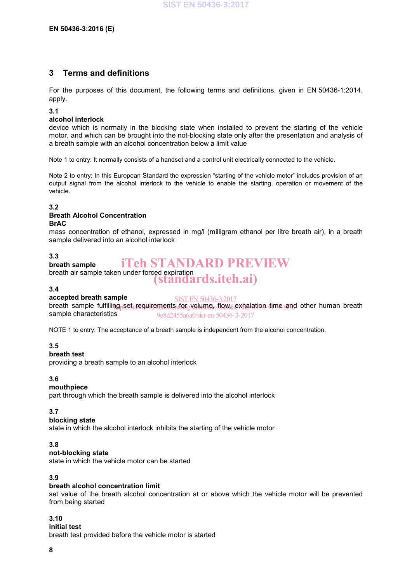### **3 Terms and definitions**

For the purposes of this document, the following terms and definitions, given in EN 50436-1:2014, apply.

#### **3.1**

#### **alcohol interlock**

device which is normally in the blocking state when installed to prevent the starting of the vehicle motor, and which can be brought into the not-blocking state only after the presentation and analysis of a breath sample with an alcohol concentration below a limit value

Note 1 to entry: It normally consists of a handset and a control unit electrically connected to the vehicle.

Note 2 to entry: In this European Standard the expression "starting of the vehicle motor" includes provision of an output signal from the alcohol interlock to the vehicle to enable the starting, operation or movement of the vehicle.

#### **3.2**

#### **Breath Alcohol Concentration**

#### **BrAC**

mass concentration of ethanol, expressed in mg/l (milligram ethanol per litre breath air), in a breath sample delivered into an alcohol interlock

#### **3.3**

#### **breath sample** iTeh STANDARD PREVIEW

breath air sample taken under forced expiration (standards.iteh.ai)

#### **3.4**

### **accepted breath sample**

SIST EN 50436-3:2017

breath sample fulfilling<sub>p</sub>set<sub>td</sub>requirements for yolume. Iow aexhalation time and other human breath sample characteristics 9e8d2455a6a0/sist-en-50436-3-2017

NOTE 1 to entry: The acceptance of a breath sample is independent from the alcohol concentration.

#### **3.5**

#### **breath test**

providing a breath sample to an alcohol interlock

#### **3.6**

#### **mouthpiece**

part through which the breath sample is delivered into the alcohol interlock

#### **3.7**

#### **blocking state**

state in which the alcohol interlock inhibits the starting of the vehicle motor

#### **3.8**

### **not-blocking state**

state in which the vehicle motor can be started

#### **3.9**

#### **breath alcohol concentration limit**

set value of the breath alcohol concentration at or above which the vehicle motor will be prevented from being started

#### **3.10**

**initial test**

breath test provided before the vehicle motor is started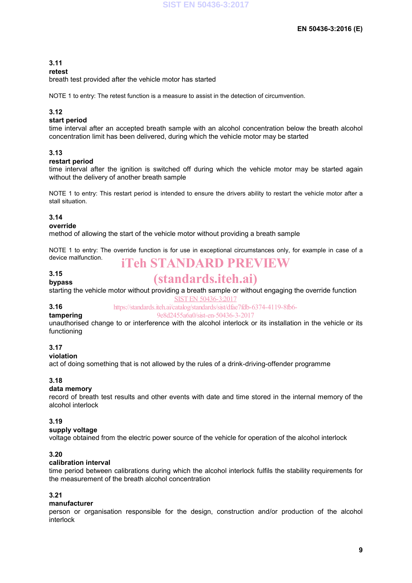#### **3.11**

#### **retest**

breath test provided after the vehicle motor has started

NOTE 1 to entry: The retest function is a measure to assist in the detection of circumvention.

#### **3.12**

#### **start period**

time interval after an accepted breath sample with an alcohol concentration below the breath alcohol concentration limit has been delivered, during which the vehicle motor may be started

#### **3.13**

#### **restart period**

time interval after the ignition is switched off during which the vehicle motor may be started again without the delivery of another breath sample

NOTE 1 to entry: This restart period is intended to ensure the drivers ability to restart the vehicle motor after a stall situation.

#### **3.14**

#### **override**

method of allowing the start of the vehicle motor without providing a breath sample

NOTE 1 to entry: The override function is for use in exceptional circumstances only, for example in case of a device malfunction. iTeh STANDARD PREVIEW

#### **3.15 bypass**

## (standards.iteh.ai)

starting the vehicle motor without providing a breath sample or without engaging the override function SIST EN 50436-3:2017

#### **3.16**

https://standards.iteh.ai/catalog/standards/sist/dfae7fdb-6374-4119-8fb6-

#### **tampering**

9e8d2455a6a0/sist-en-50436-3-2017

unauthorised change to or interference with the alcohol interlock or its installation in the vehicle or its functioning

#### **3.17**

**violation**

act of doing something that is not allowed by the rules of a drink-driving-offender programme

#### **3.18**

#### **data memory**

record of breath test results and other events with date and time stored in the internal memory of the alcohol interlock

#### **3.19**

#### **supply voltage**

voltage obtained from the electric power source of the vehicle for operation of the alcohol interlock

#### **3.20**

#### **calibration interval**

time period between calibrations during which the alcohol interlock fulfils the stability requirements for the measurement of the breath alcohol concentration

#### **3.21**

#### **manufacturer**

person or organisation responsible for the design, construction and/or production of the alcohol interlock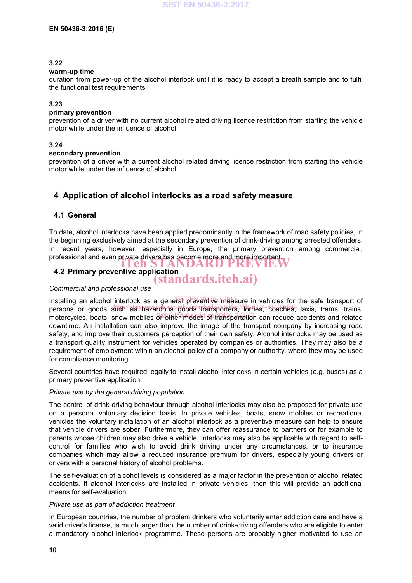#### **3.22**

#### **warm-up time**

duration from power-up of the alcohol interlock until it is ready to accept a breath sample and to fulfil the functional test requirements

#### **3.23**

#### **primary prevention**

prevention of a driver with no current alcohol related driving licence restriction from starting the vehicle motor while under the influence of alcohol

#### **3.24**

#### **secondary prevention**

prevention of a driver with a current alcohol related driving licence restriction from starting the vehicle motor while under the influence of alcohol

### **4 Application of alcohol interlocks as a road safety measure**

#### **4.1 General**

To date, alcohol interlocks have been applied predominantly in the framework of road safety policies, in the beginning exclusively aimed at the secondary prevention of drink-driving among arrested offenders. In recent years, however, especially in Europe, the primary prevention among commercial, professional and even private drivers has become more and more important.<br>**1.2. Primary proventive application** 

## **4.2 Primary preventive application**

### (standards.iteh.ai)

#### *Commercial and professional use*

Installing an alcohol interlock as a general preventive measure in vehicles for the safe transport of persons or goods such as hazardous agoods transporters, florfies, colaches, taxis, trams, trains, motorcycles, boats, snow mobiles or other modes or transportation can reduce accidents and related downtime. An installation can also improve the image of the transport company by increasing road safety, and improve their customers perception of their own safety. Alcohol interlocks may be used as a transport quality instrument for vehicles operated by companies or authorities. They may also be a requirement of employment within an alcohol policy of a company or authority, where they may be used for compliance monitoring.

Several countries have required legally to install alcohol interlocks in certain vehicles (e.g. buses) as a primary preventive application.

#### *Private use by the general driving population*

The control of drink-driving behaviour through alcohol interlocks may also be proposed for private use on a personal voluntary decision basis. In private vehicles, boats, snow mobiles or recreational vehicles the voluntary installation of an alcohol interlock as a preventive measure can help to ensure that vehicle drivers are sober. Furthermore, they can offer reassurance to partners or for example to parents whose children may also drive a vehicle. Interlocks may also be applicable with regard to selfcontrol for families who wish to avoid drink driving under any circumstances, or to insurance companies which may allow a reduced insurance premium for drivers, especially young drivers or drivers with a personal history of alcohol problems.

The self-evaluation of alcohol levels is considered as a major factor in the prevention of alcohol related accidents. If alcohol interlocks are installed in private vehicles, then this will provide an additional means for self-evaluation.

#### *Private use as part of addiction treatment*

In European countries, the number of problem drinkers who voluntarily enter addiction care and have a valid driver's license, is much larger than the number of drink-driving offenders who are eligible to enter a mandatory alcohol interlock programme. These persons are probably higher motivated to use an